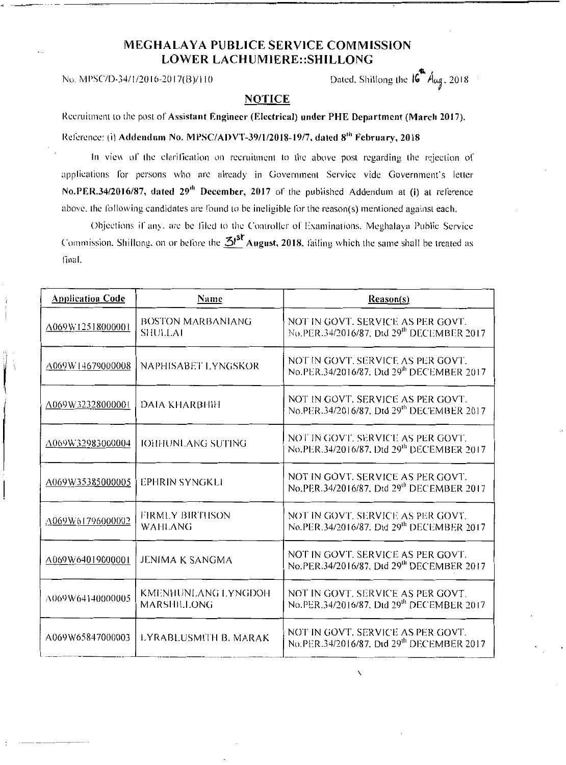## MEGHALAYA PUBLICE SERVICE COMMISSION LOWER LACHUMIERE::SHILLONG

 $\mathbf{w}$  , No. MPSC/D-34/I/2016-2017(B)/110 Dated. Shillong the  $16$   $A_{\mu q}$ , 2018

## NOTICE

Recruitment lo the post of Assistant Engineer (Electrical) under PHE Department (March 2017).

Reference: (i) Addendum No. MPSC/ADVT-39/1/2018-19/7, dated 8<sup>th</sup> February, 2018

In view of the clarification on recruitment to the above post regarding the rejection of applications for persons who are already in Government Service vide Government's letter No.PER.34/2016/87, dated 29<sup>th</sup> December, 2017 of the published Addendum at (i) at reference above, the following candidates are found lo be ineligible for the reason(s) mentioned against each.

Objections if any. are be filed lo the Controller of Examinations. Meghalaya Public Service Commission. Shillong, on or before the  $\mathbf{\Sigma}^{j}$ August, 2018. failing which the same shall be treated as final.

| <b>Application Code</b> | Name                                       | Reason(s)                                                                                  |
|-------------------------|--------------------------------------------|--------------------------------------------------------------------------------------------|
| A069W12518000001        | <b>BOSTON MARBANIANG</b><br><b>SHULLAI</b> | NOT IN GOVT. SERVICE AS PER GOVT.<br>No.PER.34/2016/87, Dtd 29th DECEMBER 2017             |
| A069W14679000008        | NAPHISABET LYNGSKOR                        | NOT IN GOVT. SERVICE AS PER GOVT.<br>No.PER.34/2016/87. Dtd 29th DECEMBER 2017             |
| A069W32328000001        | <b>DAIA KHARBHIH</b>                       | NOT IN GOVT. SERVICE AS PER GOVT.<br>No.PER.34/2016/87, Dtd 29th DECEMBER 2017             |
| A069W32983000004        | <b>IOHHUNLANG SUTING</b>                   | NOT IN GOVT. SERVICE AS PER GOVT.<br>No.PER.34/2016/87, Dtd 29 <sup>th</sup> DECEMBER 2017 |
| A069W35385000005        | <b>EPHRIN SYNGKLI</b>                      | NOT IN GOVT. SERVICE AS PER GOVT.<br>No.PER.34/2016/87, Dtd 29th DECEMBER 2017             |
| A069W61796000002        | <b>FIRMLY BIRTHSON</b><br><b>WAHLANG</b>   | NOT IN GOVT. SERVICE AS PER GOVT.<br>No.PER.34/2016/87, Dtd 29th DECEMBER 2017             |
| A069W64019000001        | <b>JENIMA K SANGMA</b>                     | NOT IN GOVT. SERVICE AS PER GOVT.<br>No.PER.34/2016/87, Dtd 29th DECEMBER 2017             |
| A069W64140000005        | KMENHUNLANG LYNGDOH<br><b>MARSHILLONG</b>  | NOT IN GOVT. SERVICE AS PER GOVT.<br>No.PER.34/2016/87, Dtd 29th DECEMBER 2017             |
| A069W65847000003        | LYRABLUSMITH B. MARAK                      | NOT IN GOVT. SERVICE AS PER GOVT.<br>No.PER.34/2016/87, Dtd 29th DECEMBER 2017             |

 $\overline{\phantom{0}}$